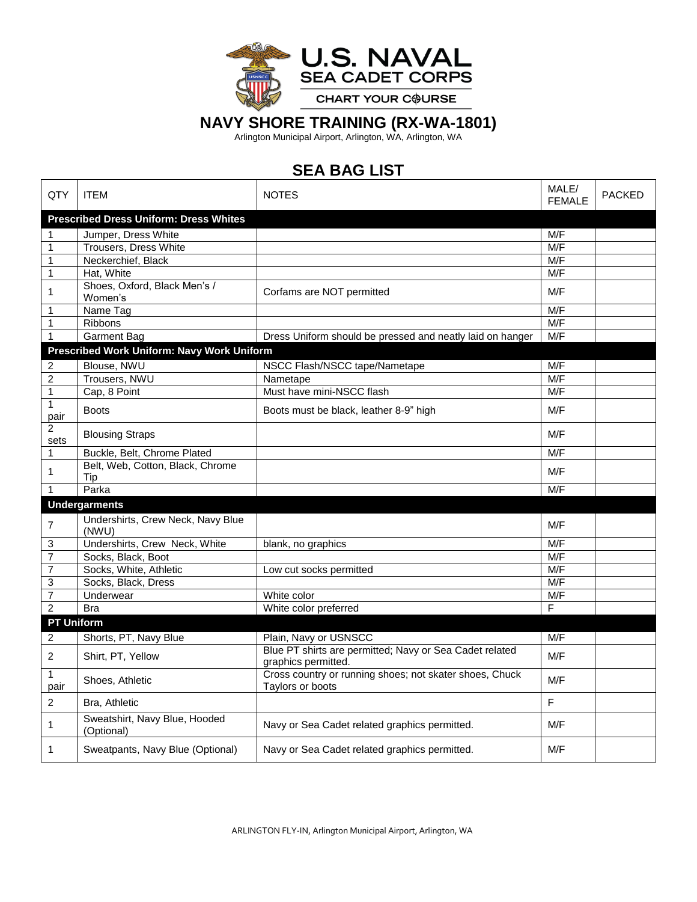

## **NAVY SHORE TRAINING (RX-WA-1801)**

Arlington Municipal Airport, Arlington, WA, Arlington, WA

## **SEA BAG LIST**

| QTY                    | <b>ITEM</b>                                   | <b>NOTES</b>                                                                   | MALE/<br><b>FEMALE</b>  | <b>PACKED</b> |
|------------------------|-----------------------------------------------|--------------------------------------------------------------------------------|-------------------------|---------------|
|                        | <b>Prescribed Dress Uniform: Dress Whites</b> |                                                                                |                         |               |
| 1                      | Jumper, Dress White                           |                                                                                | M/F                     |               |
| $\mathbf{1}$           | Trousers, Dress White                         |                                                                                | M/F                     |               |
| 1                      | Neckerchief, Black                            |                                                                                | M/F                     |               |
| $\mathbf{1}$           | Hat, White                                    |                                                                                | M/F                     |               |
| 1                      | Shoes, Oxford, Black Men's /<br>Women's       | Corfams are NOT permitted                                                      | M/F                     |               |
| 1                      | Name Tag                                      |                                                                                | M/F                     |               |
| 1                      | Ribbons                                       |                                                                                | M/F                     |               |
| $\mathbf{1}$           | <b>Garment Bag</b>                            | Dress Uniform should be pressed and neatly laid on hanger                      | M/F                     |               |
|                        | Prescribed Work Uniform: Navy Work Uniform    |                                                                                |                         |               |
| $\boldsymbol{2}$       | Blouse, NWU                                   | NSCC Flash/NSCC tape/Nametape                                                  | M/F                     |               |
| $\overline{c}$         | Trousers, NWU                                 | Nametape                                                                       | M/F                     |               |
| 1                      | Cap, 8 Point                                  | Must have mini-NSCC flash                                                      | M/F                     |               |
| $\mathbf{1}$<br>pair   | <b>Boots</b>                                  | Boots must be black, leather 8-9" high                                         | M/F                     |               |
| $\overline{c}$<br>sets | <b>Blousing Straps</b>                        |                                                                                | M/F                     |               |
| $\mathbf{1}$           | Buckle, Belt, Chrome Plated                   |                                                                                | M/F                     |               |
| 1                      | Belt, Web, Cotton, Black, Chrome<br>Tip       |                                                                                | M/F                     |               |
| $\mathbf{1}$           | Parka                                         |                                                                                | M/F                     |               |
|                        | <b>Undergarments</b>                          |                                                                                |                         |               |
| 7                      | Undershirts, Crew Neck, Navy Blue<br>(NWU)    |                                                                                | M/F                     |               |
| 3                      | Undershirts, Crew Neck, White                 | blank, no graphics                                                             | M/F                     |               |
| $\overline{7}$         | Socks, Black, Boot                            |                                                                                | M/F                     |               |
| 7                      | Socks, White, Athletic                        | Low cut socks permitted                                                        | M/F                     |               |
| 3                      | Socks, Black, Dress                           |                                                                                | M/F                     |               |
| $\overline{7}$         | Underwear                                     | White color                                                                    | M/F                     |               |
| $\overline{2}$         | <b>Bra</b>                                    | White color preferred                                                          | $\overline{\mathsf{F}}$ |               |
| <b>PT Uniform</b>      |                                               |                                                                                |                         |               |
| 2                      | Shorts, PT, Navy Blue                         | Plain, Navy or USNSCC                                                          | M/F                     |               |
| 2                      | Shirt, PT, Yellow                             | Blue PT shirts are permitted; Navy or Sea Cadet related<br>graphics permitted. | M/F                     |               |
| $\mathbf{1}$<br>pair   | Shoes, Athletic                               | Cross country or running shoes; not skater shoes, Chuck<br>Taylors or boots    | M/F                     |               |
| $\overline{c}$         | Bra, Athletic                                 |                                                                                | $\mathsf F$             |               |
| 1                      | Sweatshirt, Navy Blue, Hooded<br>(Optional)   | Navy or Sea Cadet related graphics permitted.                                  | M/F                     |               |
| 1                      | Sweatpants, Navy Blue (Optional)              | Navy or Sea Cadet related graphics permitted.                                  | M/F                     |               |